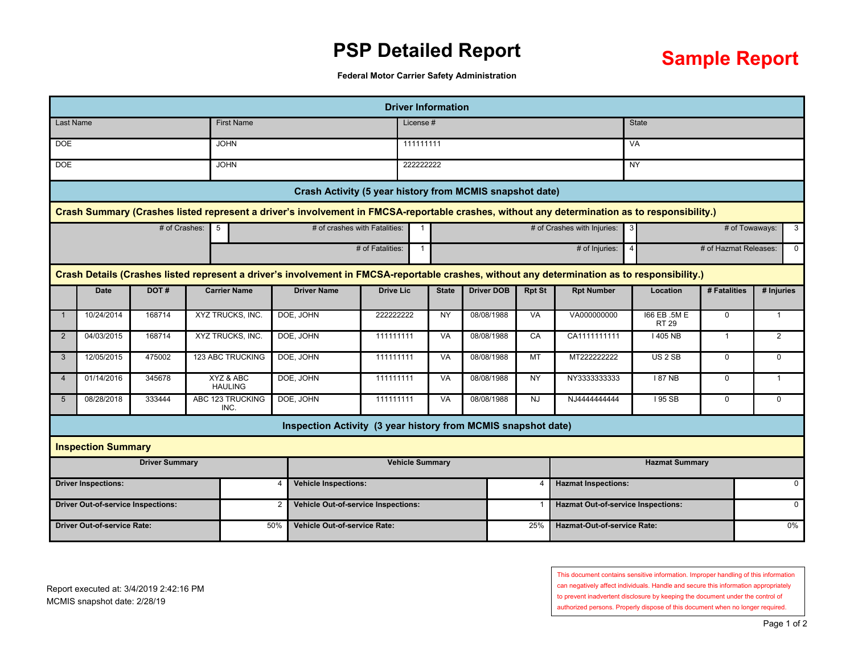## **PSP Detailed Report**



**Federal Motor Carrier Safety Administration**

|                                                             |                                                                                                                                              |                 |  |                                    |                                                               |                                            |              | <b>Driver Information</b> |                   |                                           |                             |                              |                       |                |              |  |
|-------------------------------------------------------------|----------------------------------------------------------------------------------------------------------------------------------------------|-----------------|--|------------------------------------|---------------------------------------------------------------|--------------------------------------------|--------------|---------------------------|-------------------|-------------------------------------------|-----------------------------|------------------------------|-----------------------|----------------|--------------|--|
| <b>Last Name</b>                                            |                                                                                                                                              |                 |  | <b>First Name</b>                  |                                                               |                                            | License#     |                           |                   |                                           |                             | <b>State</b>                 |                       |                |              |  |
| DOE<br><b>JOHN</b>                                          |                                                                                                                                              |                 |  |                                    | 111111111                                                     |                                            |              |                           |                   |                                           | <b>VA</b>                   |                              |                       |                |              |  |
| <b>DOE</b><br><b>JOHN</b>                                   |                                                                                                                                              |                 |  |                                    | 222222222                                                     |                                            |              |                           |                   |                                           | <b>NY</b>                   |                              |                       |                |              |  |
| Crash Activity (5 year history from MCMIS snapshot date)    |                                                                                                                                              |                 |  |                                    |                                                               |                                            |              |                           |                   |                                           |                             |                              |                       |                |              |  |
|                                                             | Crash Summary (Crashes listed represent a driver's involvement in FMCSA-reportable crashes, without any determination as to responsibility.) |                 |  |                                    |                                                               |                                            |              |                           |                   |                                           |                             |                              |                       |                |              |  |
|                                                             |                                                                                                                                              | $#$ of Crashes: |  | # of crashes with Fatalities:<br>5 |                                                               |                                            | $\mathbf{1}$ |                           |                   |                                           | # of Crashes with Injuries: | 3 <sup>1</sup>               | # of Towaways:        |                | $\mathbf{3}$ |  |
|                                                             |                                                                                                                                              |                 |  |                                    |                                                               | # of Fatalities:                           |              |                           |                   |                                           | # of Injuries:              | $\vert$                      | # of Hazmat Releases: | $\mathbf{0}$   |              |  |
|                                                             | Crash Details (Crashes listed represent a driver's involvement in FMCSA-reportable crashes, without any determination as to responsibility.) |                 |  |                                    |                                                               |                                            |              |                           |                   |                                           |                             |                              |                       |                |              |  |
|                                                             | <b>Date</b>                                                                                                                                  | DOT#            |  | <b>Carrier Name</b>                | <b>Driver Name</b>                                            | <b>Drive Lic</b>                           |              | <b>State</b>              | <b>Driver DOB</b> | <b>Rpt St</b>                             | <b>Rpt Number</b>           | Location                     | # Fatalities          | # Injuries     |              |  |
|                                                             | 10/24/2014                                                                                                                                   | 168714          |  | XYZ TRUCKS, INC.                   | DOE, JOHN                                                     | 222222222                                  |              | <b>NY</b>                 | 08/08/1988        | VA                                        | VA000000000                 | 166 EB .5M E<br><b>RT 29</b> | $\mathbf 0$           | $\overline{1}$ |              |  |
| 2                                                           | 04/03/2015                                                                                                                                   | 168714          |  | XYZ TRUCKS, INC.                   | DOE, JOHN                                                     | 111111111                                  |              | <b>VA</b>                 | 08/08/1988        | CA                                        | CA1111111111                | 1405 NB                      | $\mathbf{1}$          | 2              |              |  |
| 3                                                           | 12/05/2015                                                                                                                                   | 475002          |  | <b>123 ABC TRUCKING</b>            | DOE, JOHN                                                     | 111111111                                  |              | <b>VA</b>                 | 08/08/1988        | MT                                        | MT222222222                 | US <sub>2</sub> SB           | $\mathbf 0$           | $\Omega$       |              |  |
| $\overline{\mathbf{4}}$                                     | 01/14/2016                                                                                                                                   | 345678          |  | XYZ & ABC<br><b>HAULING</b>        | DOE, JOHN                                                     | 111111111                                  |              | VA                        | 08/08/1988        | <b>NY</b>                                 | NY3333333333                | 187 NB                       | $\mathbf 0$           | $\overline{1}$ |              |  |
| 5                                                           | 08/28/2018                                                                                                                                   | 333444          |  | ABC 123 TRUCKING<br>INC.           | DOE, JOHN                                                     | 111111111                                  |              | <b>VA</b>                 | 08/08/1988        | <b>NJ</b>                                 | NJ444444444                 | <b>195 SB</b>                | $\mathbf 0$           | $\Omega$       |              |  |
|                                                             |                                                                                                                                              |                 |  |                                    | Inspection Activity (3 year history from MCMIS snapshot date) |                                            |              |                           |                   |                                           |                             |                              |                       |                |              |  |
|                                                             | <b>Inspection Summary</b>                                                                                                                    |                 |  |                                    |                                                               |                                            |              |                           |                   |                                           |                             |                              |                       |                |              |  |
| <b>Driver Summary</b>                                       |                                                                                                                                              |                 |  |                                    |                                                               | <b>Vehicle Summary</b>                     |              |                           |                   |                                           | <b>Hazmat Summary</b>       |                              |                       |                |              |  |
| <b>Driver Inspections:</b>                                  |                                                                                                                                              |                 |  |                                    |                                                               | <b>Vehicle Inspections:</b>                |              |                           |                   |                                           | <b>Hazmat Inspections:</b>  |                              |                       |                | $\Omega$     |  |
| <b>Driver Out-of-service Inspections:</b><br>$\overline{2}$ |                                                                                                                                              |                 |  |                                    |                                                               | <b>Vehicle Out-of-service Inspections:</b> |              |                           |                   | <b>Hazmat Out-of-service Inspections:</b> |                             |                              |                       | $\Omega$       |              |  |
| <b>Driver Out-of-service Rate:</b><br>50%                   |                                                                                                                                              |                 |  |                                    |                                                               | <b>Vehicle Out-of-service Rate:</b><br>25% |              |                           |                   |                                           | Hazmat-Out-of-service Rate: |                              |                       |                | $0\%$        |  |

This document contains sensitive information. Improper handling of this information

can negatively affect individuals. Handle and secure this information appropriately

to prevent inadvertent disclosure by keeping the document under the control of

authorized persons. Properly dispose of this document when no longer required.